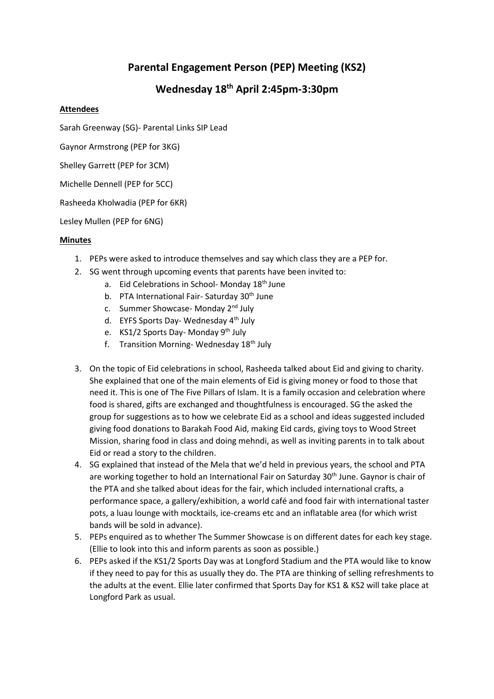## **Parental Engagement Person (PEP) Meeting (KS2)**

## **Wednesday 18 th April 2:45pm-3:30pm**

## **Attendees**

Sarah Greenway (SG)- Parental Links SIP Lead

Gaynor Armstrong (PEP for 3KG)

Shelley Garrett (PEP for 3CM)

Michelle Dennell (PEP for 5CC)

Rasheeda Kholwadia (PEP for 6KR)

Lesley Mullen (PEP for 6NG)

## **Minutes**

- 1. PEPs were asked to introduce themselves and say which class they are a PEP for.
- 2. SG went through upcoming events that parents have been invited to:
	- a. Eid Celebrations in School- Monday 18<sup>th</sup> June
	- b. PTA International Fair- Saturday 30<sup>th</sup> June
	- c. Summer Showcase- Monday 2nd July
	- d. EYFS Sports Day- Wednesday 4<sup>th</sup> July
	- e. KS1/2 Sports Day- Monday 9<sup>th</sup> July
	- f. Transition Morning-Wednesday  $18<sup>th</sup>$  July
- 3. On the topic of Eid celebrations in school, Rasheeda talked about Eid and giving to charity. She explained that one of the main elements of Eid is giving money or food to those that need it. This is one of The Five Pillars of Islam. It is a family occasion and celebration where food is shared, gifts are exchanged and thoughtfulness is encouraged. SG the asked the group for suggestions as to how we celebrate Eid as a school and ideas suggested included giving food donations to Barakah Food Aid, making Eid cards, giving toys to Wood Street Mission, sharing food in class and doing mehndi, as well as inviting parents in to talk about Eid or read a story to the children.
- 4. SG explained that instead of the Mela that we'd held in previous years, the school and PTA are working together to hold an International Fair on Saturday 30<sup>th</sup> June. Gaynor is chair of the PTA and she talked about ideas for the fair, which included international crafts, a performance space, a gallery/exhibition, a world café and food fair with international taster pots, a luau lounge with mocktails, ice-creams etc and an inflatable area (for which wrist bands will be sold in advance).
- 5. PEPs enquired as to whether The Summer Showcase is on different dates for each key stage. (Ellie to look into this and inform parents as soon as possible.)
- 6. PEPs asked if the KS1/2 Sports Day was at Longford Stadium and the PTA would like to know if they need to pay for this as usually they do. The PTA are thinking of selling refreshments to the adults at the event. Ellie later confirmed that Sports Day for KS1 & KS2 will take place at Longford Park as usual.